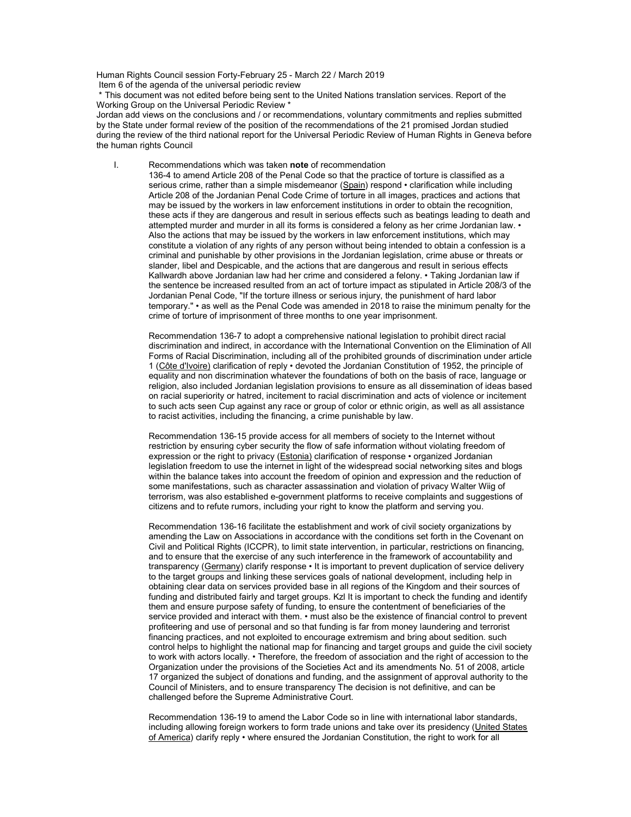Human Rights Council session Forty-February 25 - March 22 / March 2019 Item 6 of the agenda of the universal periodic review

 \* This document was not edited before being sent to the United Nations translation services. Report of the Working Group on the Universal Periodic Review \*

Jordan add views on the conclusions and / or recommendations, voluntary commitments and replies submitted by the State under formal review of the position of the recommendations of the 21 promised Jordan studied during the review of the third national report for the Universal Periodic Review of Human Rights in Geneva before the human rights Council

I. Recommendations which was taken note of recommendation 136-4 to amend Article 208 of the Penal Code so that the practice of torture is classified as a serious crime, rather than a simple misdemeanor (Spain) respond • clarification while including Article 208 of the Jordanian Penal Code Crime of torture in all images, practices and actions that may be issued by the workers in law enforcement institutions in order to obtain the recognition, these acts if they are dangerous and result in serious effects such as beatings leading to death and attempted murder and murder in all its forms is considered a felony as her crime Jordanian law. • Also the actions that may be issued by the workers in law enforcement institutions, which may constitute a violation of any rights of any person without being intended to obtain a confession is a criminal and punishable by other provisions in the Jordanian legislation, crime abuse or threats or slander, libel and Despicable, and the actions that are dangerous and result in serious effects Kallwardh above Jordanian law had her crime and considered a felony. • Taking Jordanian law if the sentence be increased resulted from an act of torture impact as stipulated in Article 208/3 of the Jordanian Penal Code, "If the torture illness or serious injury, the punishment of hard labor temporary." • as well as the Penal Code was amended in 2018 to raise the minimum penalty for the crime of torture of imprisonment of three months to one year imprisonment.

Recommendation 136-7 to adopt a comprehensive national legislation to prohibit direct racial discrimination and indirect, in accordance with the International Convention on the Elimination of All Forms of Racial Discrimination, including all of the prohibited grounds of discrimination under article 1 (Côte d'Ivoire) clarification of reply • devoted the Jordanian Constitution of 1952, the principle of equality and non discrimination whatever the foundations of both on the basis of race, language or religion, also included Jordanian legislation provisions to ensure as all dissemination of ideas based on racial superiority or hatred, incitement to racial discrimination and acts of violence or incitement to such acts seen Cup against any race or group of color or ethnic origin, as well as all assistance to racist activities, including the financing, a crime punishable by law.

Recommendation 136-15 provide access for all members of society to the Internet without restriction by ensuring cyber security the flow of safe information without violating freedom of expression or the right to privacy (Estonia) clarification of response · organized Jordanian legislation freedom to use the internet in light of the widespread social networking sites and blogs within the balance takes into account the freedom of opinion and expression and the reduction of some manifestations, such as character assassination and violation of privacy Walter Wiig of terrorism, was also established e-government platforms to receive complaints and suggestions of citizens and to refute rumors, including your right to know the platform and serving you.

Recommendation 136-16 facilitate the establishment and work of civil society organizations by amending the Law on Associations in accordance with the conditions set forth in the Covenant on Civil and Political Rights (ICCPR), to limit state intervention, in particular, restrictions on financing, and to ensure that the exercise of any such interference in the framework of accountability and transparency (Germany) clarify response • It is important to prevent duplication of service delivery to the target groups and linking these services goals of national development, including help in obtaining clear data on services provided base in all regions of the Kingdom and their sources of funding and distributed fairly and target groups. Kzl It is important to check the funding and identify them and ensure purpose safety of funding, to ensure the contentment of beneficiaries of the service provided and interact with them.  $\cdot$  must also be the existence of financial control to prevent profiteering and use of personal and so that funding is far from money laundering and terrorist financing practices, and not exploited to encourage extremism and bring about sedition. such control helps to highlight the national map for financing and target groups and guide the civil society to work with actors locally. • Therefore, the freedom of association and the right of accession to the Organization under the provisions of the Societies Act and its amendments No. 51 of 2008, article 17 organized the subject of donations and funding, and the assignment of approval authority to the Council of Ministers, and to ensure transparency The decision is not definitive, and can be challenged before the Supreme Administrative Court.

Recommendation 136-19 to amend the Labor Code so in line with international labor standards, including allowing foreign workers to form trade unions and take over its presidency (United States of America) clarify reply • where ensured the Jordanian Constitution, the right to work for all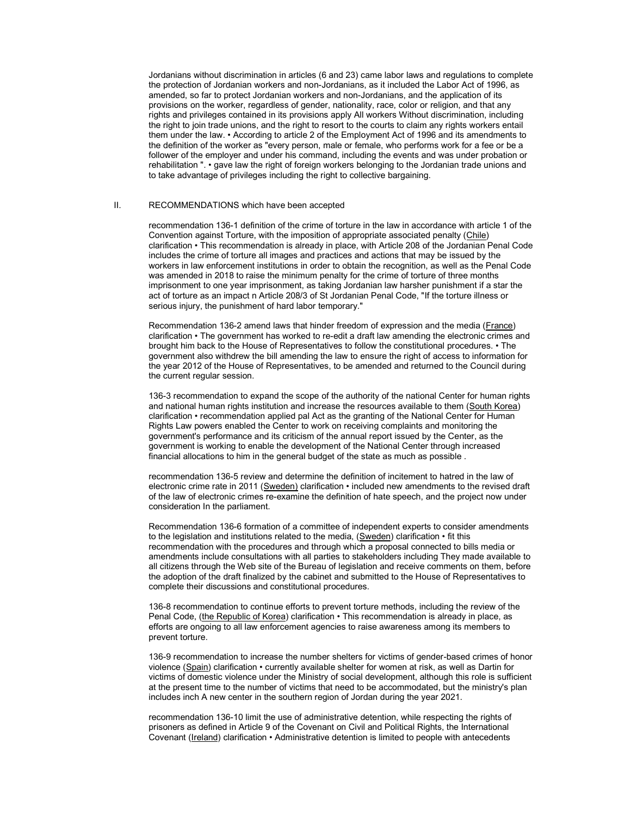Jordanians without discrimination in articles (6 and 23) came labor laws and regulations to complete the protection of Jordanian workers and non-Jordanians, as it included the Labor Act of 1996, as amended, so far to protect Jordanian workers and non-Jordanians, and the application of its provisions on the worker, regardless of gender, nationality, race, color or religion, and that any rights and privileges contained in its provisions apply All workers Without discrimination, including the right to join trade unions, and the right to resort to the courts to claim any rights workers entail them under the law. • According to article 2 of the Employment Act of 1996 and its amendments to the definition of the worker as "every person, male or female, who performs work for a fee or be a follower of the employer and under his command, including the events and was under probation or rehabilitation ". • gave law the right of foreign workers belonging to the Jordanian trade unions and to take advantage of privileges including the right to collective bargaining.

## II. RECOMMENDATIONS which have been accepted

recommendation 136-1 definition of the crime of torture in the law in accordance with article 1 of the Convention against Torture, with the imposition of appropriate associated penalty (Chile) clarification • This recommendation is already in place, with Article 208 of the Jordanian Penal Code includes the crime of torture all images and practices and actions that may be issued by the workers in law enforcement institutions in order to obtain the recognition, as well as the Penal Code was amended in 2018 to raise the minimum penalty for the crime of torture of three months imprisonment to one year imprisonment, as taking Jordanian law harsher punishment if a star the act of torture as an impact n Article 208/3 of St Jordanian Penal Code, "If the torture illness or serious injury, the punishment of hard labor temporary."

Recommendation 136-2 amend laws that hinder freedom of expression and the media (France) clarification • The government has worked to re-edit a draft law amending the electronic crimes and brought him back to the House of Representatives to follow the constitutional procedures. • The government also withdrew the bill amending the law to ensure the right of access to information for the year 2012 of the House of Representatives, to be amended and returned to the Council during the current regular session.

136-3 recommendation to expand the scope of the authority of the national Center for human rights and national human rights institution and increase the resources available to them (South Korea) clarification • recommendation applied pal Act as the granting of the National Center for Human Rights Law powers enabled the Center to work on receiving complaints and monitoring the government's performance and its criticism of the annual report issued by the Center, as the government is working to enable the development of the National Center through increased financial allocations to him in the general budget of the state as much as possible .

recommendation 136-5 review and determine the definition of incitement to hatred in the law of electronic crime rate in 2011 (Sweden) clarification · included new amendments to the revised draft of the law of electronic crimes re-examine the definition of hate speech, and the project now under consideration In the parliament.

Recommendation 136-6 formation of a committee of independent experts to consider amendments to the legislation and institutions related to the media, (Sweden) clarification • fit this recommendation with the procedures and through which a proposal connected to bills media or amendments include consultations with all parties to stakeholders including They made available to all citizens through the Web site of the Bureau of legislation and receive comments on them, before the adoption of the draft finalized by the cabinet and submitted to the House of Representatives to complete their discussions and constitutional procedures.

136-8 recommendation to continue efforts to prevent torture methods, including the review of the Penal Code, (the Republic of Korea) clarification • This recommendation is already in place, as efforts are ongoing to all law enforcement agencies to raise awareness among its members to prevent torture.

136-9 recommendation to increase the number shelters for victims of gender-based crimes of honor violence (Spain) clarification • currently available shelter for women at risk, as well as Dartin for victims of domestic violence under the Ministry of social development, although this role is sufficient at the present time to the number of victims that need to be accommodated, but the ministry's plan includes inch A new center in the southern region of Jordan during the year 2021.

recommendation 136-10 limit the use of administrative detention, while respecting the rights of prisoners as defined in Article 9 of the Covenant on Civil and Political Rights, the International Covenant (Ireland) clarification • Administrative detention is limited to people with antecedents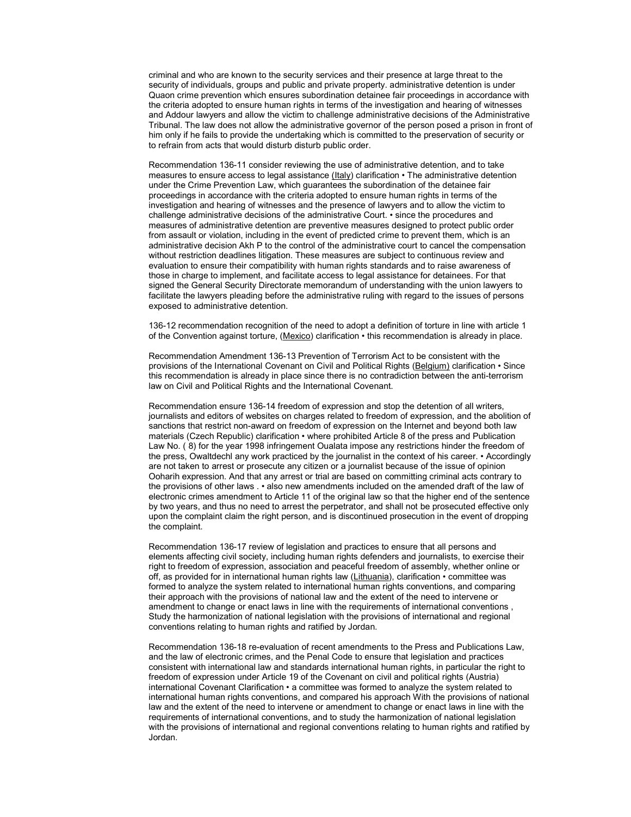criminal and who are known to the security services and their presence at large threat to the security of individuals, groups and public and private property. administrative detention is under Quaon crime prevention which ensures subordination detainee fair proceedings in accordance with the criteria adopted to ensure human rights in terms of the investigation and hearing of witnesses and Addour lawyers and allow the victim to challenge administrative decisions of the Administrative Tribunal. The law does not allow the administrative governor of the person posed a prison in front of him only if he fails to provide the undertaking which is committed to the preservation of security or to refrain from acts that would disturb disturb public order.

Recommendation 136-11 consider reviewing the use of administrative detention, and to take measures to ensure access to legal assistance (Italy) clarification • The administrative detention under the Crime Prevention Law, which guarantees the subordination of the detainee fair proceedings in accordance with the criteria adopted to ensure human rights in terms of the investigation and hearing of witnesses and the presence of lawyers and to allow the victim to challenge administrative decisions of the administrative Court. • since the procedures and measures of administrative detention are preventive measures designed to protect public order from assault or violation, including in the event of predicted crime to prevent them, which is an administrative decision Akh P to the control of the administrative court to cancel the compensation without restriction deadlines litigation. These measures are subject to continuous review and evaluation to ensure their compatibility with human rights standards and to raise awareness of those in charge to implement, and facilitate access to legal assistance for detainees. For that signed the General Security Directorate memorandum of understanding with the union lawyers to facilitate the lawyers pleading before the administrative ruling with regard to the issues of persons exposed to administrative detention.

136-12 recommendation recognition of the need to adopt a definition of torture in line with article 1 of the Convention against torture, (Mexico) clarification • this recommendation is already in place.

Recommendation Amendment 136-13 Prevention of Terrorism Act to be consistent with the provisions of the International Covenant on Civil and Political Rights (**Belgium**) clarification • Since this recommendation is already in place since there is no contradiction between the anti-terrorism law on Civil and Political Rights and the International Covenant.

Recommendation ensure 136-14 freedom of expression and stop the detention of all writers, journalists and editors of websites on charges related to freedom of expression, and the abolition of sanctions that restrict non-award on freedom of expression on the Internet and beyond both law materials (Czech Republic) clarification • where prohibited Article 8 of the press and Publication Law No. ( 8) for the year 1998 infringement Oualata impose any restrictions hinder the freedom of the press, Owaltdechl any work practiced by the journalist in the context of his career. • Accordingly are not taken to arrest or prosecute any citizen or a journalist because of the issue of opinion Ooharih expression. And that any arrest or trial are based on committing criminal acts contrary to the provisions of other laws . • also new amendments included on the amended draft of the law of electronic crimes amendment to Article 11 of the original law so that the higher end of the sentence by two years, and thus no need to arrest the perpetrator, and shall not be prosecuted effective only upon the complaint claim the right person, and is discontinued prosecution in the event of dropping the complaint.

Recommendation 136-17 review of legislation and practices to ensure that all persons and elements affecting civil society, including human rights defenders and journalists, to exercise their right to freedom of expression, association and peaceful freedom of assembly, whether online or off, as provided for in international human rights law (Lithuania), clarification • committee was formed to analyze the system related to international human rights conventions, and comparing their approach with the provisions of national law and the extent of the need to intervene or amendment to change or enact laws in line with the requirements of international conventions , Study the harmonization of national legislation with the provisions of international and regional conventions relating to human rights and ratified by Jordan.

Recommendation 136-18 re-evaluation of recent amendments to the Press and Publications Law, and the law of electronic crimes, and the Penal Code to ensure that legislation and practices consistent with international law and standards international human rights, in particular the right to freedom of expression under Article 19 of the Covenant on civil and political rights (Austria) international Covenant Clarification • a committee was formed to analyze the system related to international human rights conventions, and compared his approach With the provisions of national law and the extent of the need to intervene or amendment to change or enact laws in line with the requirements of international conventions, and to study the harmonization of national legislation with the provisions of international and regional conventions relating to human rights and ratified by Jordan.